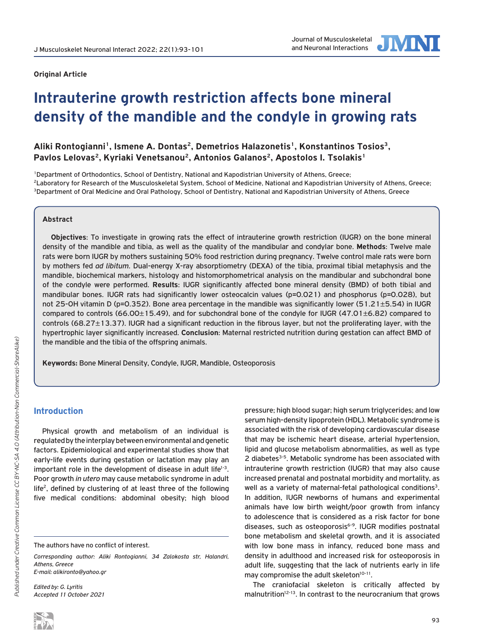

# **Intrauterine growth restriction affects bone mineral density of the mandible and the condyle in growing rats**

# Aliki Rontogianni<sup>1</sup>, Ismene A. Dontas<sup>2</sup>, Demetrios Halazonetis<sup>1</sup>, Konstantinos Tosios<sup>3</sup>, Pavlos Lelovas<sup>2</sup>, Kyriaki Venetsanou<sup>2</sup>, Antonios Galanos<sup>2</sup>, Apostolos I. Tsolakis<sup>1</sup>

1Department of Orthodontics, School of Dentistry, National and Kapodistrian University of Athens, Greece; <sup>2</sup>Laboratory for Research of the Musculoskeletal System, School of Medicine, National and Kapodistrian University of Athens, Greece; 3Department of Oral Medicine and Oral Pathology, School of Dentistry, National and Kapodistrian University of Athens, Greece

## **Abstract**

**Objectives**: To investigate in growing rats the effect of intrauterine growth restriction (IUGR) on the bone mineral density of the mandible and tibia, as well as the quality of the mandibular and condylar bone. **Methods**: Twelve male rats were born IUGR by mothers sustaining 50% food restriction during pregnancy. Twelve control male rats were born by mothers fed *ad libitum*. Dual-energy X-ray absorptiometry (DEXA) of the tibia, proximal tibial metaphysis and the mandible, biochemical markers, histology and histomorphometrical analysis on the mandibular and subchondral bone of the condyle were performed. **Results**: IUGR significantly affected bone mineral density (BMD) of both tibial and mandibular bones. IUGR rats had significantly lower osteocalcin values (p=0.021) and phosphorus (p=0.028), but not 25-OH vitamin D (p=0.352). Bone area percentage in the mandible was significantly lower (51.21±5.54) in IUGR compared to controls (66.00±15.49), and for subchondral bone of the condyle for IUGR (47.01±6.82) compared to controls (68.27±13.37). IUGR had a significant reduction in the fibrous layer, but not the proliferating layer, with the hypertrophic layer significantly increased. **Conclusion**: Maternal restricted nutrition during gestation can affect BMD of the mandible and the tibia of the offspring animals.

**Keywords:** Bone Mineral Density, Condyle, IUGR, Mandible, Osteoporosis

# **Introduction**

Physical growth and metabolism of an individual is regulated by the interplay between environmental and genetic factors. Epidemiological and experimental studies show that early-life events during gestation or lactation may play an important role in the development of disease in adult life<sup>1-3</sup>. Poor growth *in utero* may cause metabolic syndrome in adult life<sup>2</sup>, defined by clustering of at least three of the following five medical conditions: abdominal obesity; high blood

*Corresponding author: Aliki Rontogianni, 34 Zalokosta str, Halandri, Athens, Greece E-mail: alikironto@yahoo.gr*

*Edited by: G. Lyritis Accepted 11 October 2021* pressure; high blood sugar; high serum triglycerides; and low serum high-density lipoprotein (HDL). Metabolic syndrome is associated with the risk of developing cardiovascular disease that may be ischemic heart disease, arterial hypertension, lipid and glucose metabolism abnormalities, as well as type 2 diabetes<sup>3-5</sup>. Metabolic syndrome has been associated with intrauterine growth restriction (IUGR) that may also cause increased prenatal and postnatal morbidity and mortality, as well as a variety of maternal-fetal pathological conditions<sup>3</sup>. In addition, IUGR newborns of humans and experimental animals have low birth weight/poor growth from infancy to adolescence that is considered as a risk factor for bone diseases, such as osteoporosis<sup>6-9</sup>. IUGR modifies postnatal bone metabolism and skeletal growth, and it is associated with low bone mass in infancy, reduced bone mass and density in adulthood and increased risk for osteoporosis in adult life, suggesting that the lack of nutrients early in life may compromise the adult skeleton<sup>10-11</sup>.

The craniofacial skeleton is critically affected by malnutrition<sup>12-13</sup>. In contrast to the neurocranium that grows

The authors have no conflict of interest.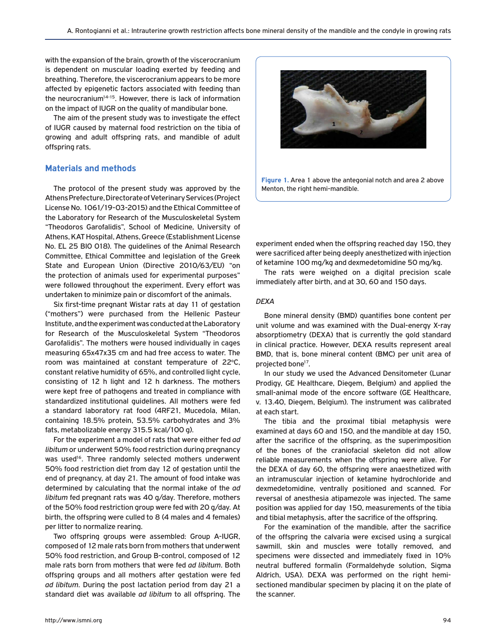with the expansion of the brain, growth of the viscerocranium is dependent on muscular loading exerted by feeding and breathing. Therefore, the viscerocranium appears to be more affected by epigenetic factors associated with feeding than the neurocranium<sup>14-15</sup>. However, there is lack of information on the impact of IUGR on the quality of mandibular bone.

The aim of the present study was to investigate the effect of IUGR caused by maternal food restriction on the tibia of growing and adult offspring rats, and mandible of adult offspring rats.

### **Materials and methods**

The protocol of the present study was approved by the Athens Prefecture, Directorate of Veterinary Services (Project License No. 1061/19-03-2015) and the Ethical Committee of the Laboratory for Research of the Musculoskeletal System "Theodoros Garofalidis", School of Medicine, University of Athens, KAT Hospital, Athens, Greece (Establishment License No. EL 25 BIO 018). The guidelines of the Animal Research Committee, Ethical Committee and legislation of the Greek State and European Union (Directive 2010/63/EU) "on the protection of animals used for experimental purposes" were followed throughout the experiment. Every effort was undertaken to minimize pain or discomfort of the animals.

Six first-time pregnant Wistar rats at day 11 of gestation ("mothers") were purchased from the Hellenic Pasteur Institute, and the experiment was conducted at the Laboratory for Research of the Musculoskeletal System "Theodoros Garofalidis". The mothers were housed individually in cages measuring 65x47x35 cm and had free access to water. The room was maintained at constant temperature of 22°C, constant relative humidity of 65%, and controlled light cycle, consisting of 12 h light and 12 h darkness. The mothers were kept free of pathogens and treated in compliance with standardized institutional guidelines. All mothers were fed a standard laboratory rat food (4RF21, Mucedola, Milan, containing 18.5% protein, 53.5% carbohydrates and 3% fats, metabolizable energy 315.5 kcal/100 g).

For the experiment a model of rats that were either fed *ad libitum* or underwent 50% food restriction during pregnancy was used<sup>16</sup>. Three randomly selected mothers underwent 50% food restriction diet from day 12 of gestation until the end of pregnancy, at day 21. The amount of food intake was determined by calculating that the normal intake of the *ad libitum* fed pregnant rats was 40 g/day. Therefore, mothers of the 50% food restriction group were fed with 20 g/day. At birth, the offspring were culled to 8 (4 males and 4 females) per litter to normalize rearing.

Two offspring groups were assembled: Group A-IUGR, composed of 12 male rats born from mothers that underwent 50% food restriction, and Group B-control, composed of 12 male rats born from mothers that were fed *ad libitum*. Both offspring groups and all mothers after gestation were fed *ad libitum*. During the post lactation period from day 21 a standard diet was available *ad libitum* to all offspring. The



**Figure 1.** Area 1 above the antegonial notch and area 2 above Menton, the right hemi-mandible.

experiment ended when the offspring reached day 150, they were sacrificed after being deeply anesthetized with injection of ketamine 100 mg/kg and dexmedetomidine 50 mg/kg.

The rats were weighed on a digital precision scale immediately after birth, and at 30, 60 and 150 days.

#### *DEXA*

Bone mineral density (BMD) quantifies bone content per unit volume and was examined with the Dual-energy X-ray absorptiometry (DEXA) that is currently the gold standard in clinical practice. However, DEXA results represent areal BMD, that is, bone mineral content (BMC) per unit area of projected bone<sup>17</sup>.

In our study we used the Advanced Densitometer (Lunar Prodigy, GE Healthcare, Diegem, Belgium) and applied the small-animal mode of the encore software (GE Healthcare, v. 13.40, Diegem, Belgium). The instrument was calibrated at each start.

The tibia and the proximal tibial metaphysis were examined at days 60 and 150, and the mandible at day 150, after the sacrifice of the offspring, as the superimposition of the bones of the craniofacial skeleton did not allow reliable measurements when the offspring were alive. For the DEXA of day 60, the offspring were anaesthetized with an intramuscular injection of ketamine hydrochloride and dexmedetomidine, ventrally positioned and scanned. For reversal of anesthesia atipamezole was injected. The same position was applied for day 150, measurements of the tibia and tibial metaphysis, after the sacrifice of the offspring.

For the examination of the mandible, after the sacrifice of the offspring the calvaria were excised using a surgical sawmill, skin and muscles were totally removed, and specimens were dissected and immediately fixed in 10% neutral buffered formalin (Formaldehyde solution, Sigma Aldrich, USA). DEXA was performed on the right hemisectioned mandibular specimen by placing it on the plate of the scanner.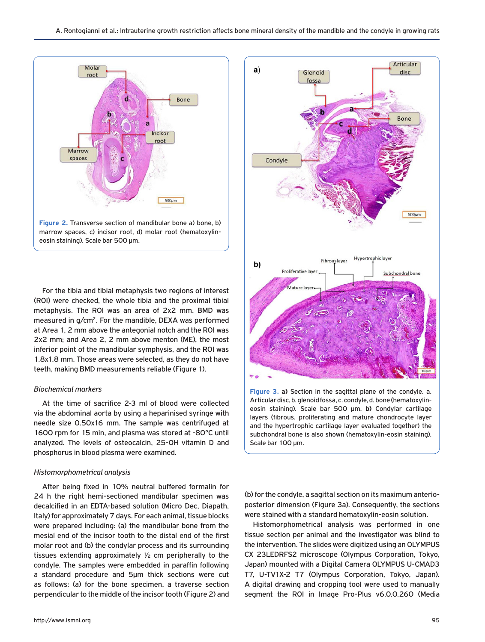

For the tibia and tibial metaphysis two regions of interest (ROI) were checked, the whole tibia and the proximal tibial metaphysis. The ROI was an area of 2x2 mm. BMD was measured in g/cm<sup>2</sup>. For the mandible, DEXA was performed at Area 1, 2 mm above the antegonial notch and the ROI was 2x2 mm; and Area 2, 2 mm above menton (ME), the most inferior point of the mandibular symphysis, and the ROI was 1.8x1.8 mm. Those areas were selected, as they do not have teeth, making BMD measurements reliable (Figure 1).

#### *Biochemical markers*

At the time of sacrifice 2-3 ml of blood were collected via the abdominal aorta by using a heparinised syringe with needle size 0.50x16 mm. The sample was centrifuged at 1600 rpm for 15 min, and plasma was stored at -80°C until analyzed. The levels of osteocalcin, 25-OH vitamin D and phosphorus in blood plasma were examined.

#### *Histomorphometrical analysis*

After being fixed in 10% neutral buffered formalin for 24 h the right hemi-sectioned mandibular specimen was decalcified in an EDTA-based solution (Micro Dec, Diapath, Italy) for approximately 7 days. For each animal, tissue blocks were prepared including: (a) the mandibular bone from the mesial end of the incisor tooth to the distal end of the first molar root and (b) the condylar process and its surrounding tissues extending approximately ½ cm peripherally to the condyle. The samples were embedded in paraffin following a standard procedure and 5μm thick sections were cut as follows: (a) for the bone specimen, a traverse section perpendicular to the middle of the incisor tooth (Figure 2) and



eosin staining). Scale bar 500 μm. **b)** Condylar cartilage layers (fibrous, proliferating and mature chondrocyte layer and the hypertrophic cartilage layer evaluated together) the subchondral bone is also shown (hematoxylin-eosin staining). Scale bar 100 μm.

(b) for the condyle, a sagittal section on its maximum anterioposterior dimension (Figure 3a). Consequently, the sections were stained with a standard hematoxylin-eosin solution.

Histomorphometrical analysis was performed in one tissue section per animal and the investigator was blind to the intervention. The slides were digitized using an OLYMPUS CX 23LEDRFS2 microscope (Olympus Corporation, Tokyo, Japan) mounted with a Digital Camera OLYMPUS U-CMAD3 T7, U-TV1X-2 T7 (Olympus Corporation, Tokyo, Japan). A digital drawing and cropping tool were used to manually segment the ROI in Image Pro-Plus v6.0.0.260 (Media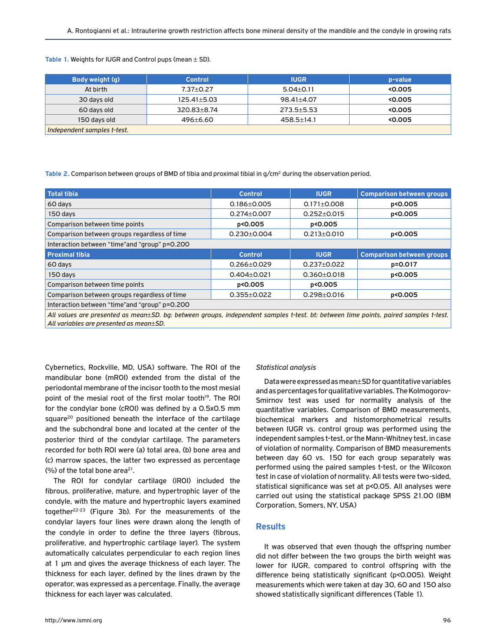| Body weight (g)             | <b>Control</b>    | <b>IUGR</b>      | p-value |
|-----------------------------|-------------------|------------------|---------|
| At birth                    | $7.37 \pm 0.27$   | $5.04 \pm 0.11$  | < 0.005 |
| 30 days old                 | $125.41 \pm 5.03$ | 98.41±4.07       | < 0.005 |
| 60 days old                 | $320.83 \pm 8.74$ | $273.5 \pm 5.53$ | < 0.005 |
| 150 days old                | $496 \pm 6.60$    | $458.5 \pm 14.1$ | 0.005   |
| Independent samples t-test. |                   |                  |         |

Table 1. Weights for IUGR and Control pups (mean  $\pm$  SD).

Table 2. Comparison between groups of BMD of tibia and proximal tibial in g/cm<sup>2</sup> during the observation period.

| <b>Total tibia</b>                                                                                                                                                              | <b>Control</b>    | <b>IUGR</b>       | <b>Comparison between groups</b> |  |
|---------------------------------------------------------------------------------------------------------------------------------------------------------------------------------|-------------------|-------------------|----------------------------------|--|
| 60 days                                                                                                                                                                         | $0.186 \pm 0.005$ | $0.171 \pm 0.008$ | p<0.005                          |  |
| 150 days                                                                                                                                                                        | $0.274 + 0.007$   | $0.252 \pm 0.015$ | p<0.005                          |  |
| Comparison between time points                                                                                                                                                  | p<0.005           | p<0.005           |                                  |  |
| Comparison between groups regardless of time                                                                                                                                    | $0.230 \pm 0.004$ | $0.213 \pm 0.010$ | p<0.005                          |  |
| Interaction between "time" and "group" p=0.200                                                                                                                                  |                   |                   |                                  |  |
| <b>Proximal tibia</b>                                                                                                                                                           | <b>Control</b>    | <b>IUGR</b>       | <b>Comparison between groups</b> |  |
| 60 days                                                                                                                                                                         | $0.266 \pm 0.029$ | $0.237 \pm 0.022$ | p=0.017                          |  |
| 150 days                                                                                                                                                                        | $0.404 \pm 0.021$ | $0.360 \pm 0.018$ | p<0.005                          |  |
| Comparison between time points                                                                                                                                                  | p<0.005           | p<0.005           |                                  |  |
| Comparison between groups regardless of time                                                                                                                                    | $0.355 \pm 0.022$ | $0.298 \pm 0.016$ | p<0.005                          |  |
| Interaction between "time" and "group" p=0.200                                                                                                                                  |                   |                   |                                  |  |
| All values are presented as mean±SD, bg; between groups, independent samples t-test, bt; between time points, paired samples t-test,<br>All variables are presented as mean±SD. |                   |                   |                                  |  |

Cybernetics, Rockville, MD, USA) software. The ROI of the mandibular bone (mROI) extended from the distal of the periodontal membrane of the incisor tooth to the most mesial point of the mesial root of the first molar tooth<sup>19</sup>. The ROI for the condylar bone (cROI) was defined by a 0.5x0.5 mm square<sup>20</sup> positioned beneath the interface of the cartilage and the subchondral bone and located at the center of the posterior third of the condylar cartilage. The parameters recorded for both ROI were (a) total area, (b) bone area and (c) marrow spaces, the latter two expressed as percentage (%) of the total bone area<sup>21</sup>.

The ROI for condylar cartilage (lROI) included the fibrous, proliferative, mature, and hypertrophic layer of the condyle, with the mature and hypertrophic layers examined together<sup>22-23</sup> (Figure 3b). For the measurements of the condylar layers four lines were drawn along the length of the condyle in order to define the three layers (fibrous, proliferative, and hypertrophic cartilage layer). The system automatically calculates perpendicular to each region lines at 1 μm and gives the average thickness of each layer. The thickness for each layer, defined by the lines drawn by the operator, was expressed as a percentage. Finally, the average thickness for each layer was calculated.

## *Statistical analysis*

Data were expressed as mean±SD for quantitative variables and as percentages for qualitative variables. The Kolmogorov-Smirnov test was used for normality analysis of the quantitative variables. Comparison of BMD measurements, biochemical markers and histomorphometrical results between IUGR vs. control group was performed using the independent samples t-test, or the Mann-Whitney test, in case of violation of normality. Comparison of BMD measurements between day 60 vs. 150 for each group separately was performed using the paired samples t-test, or the Wilcoxon test in case of violation of normality. All tests were two-sided, statistical significance was set at p<0.05. All analyses were carried out using the statistical package SPSS 21.00 (IBM Corporation, Somers, NY, USA)

## **Results**

It was observed that even though the offspring number did not differ between the two groups the birth weight was lower for IUGR, compared to control offspring with the difference being statistically significant (p<0.005). Weight measurements which were taken at day 30, 60 and 150 also showed statistically significant differences (Table 1).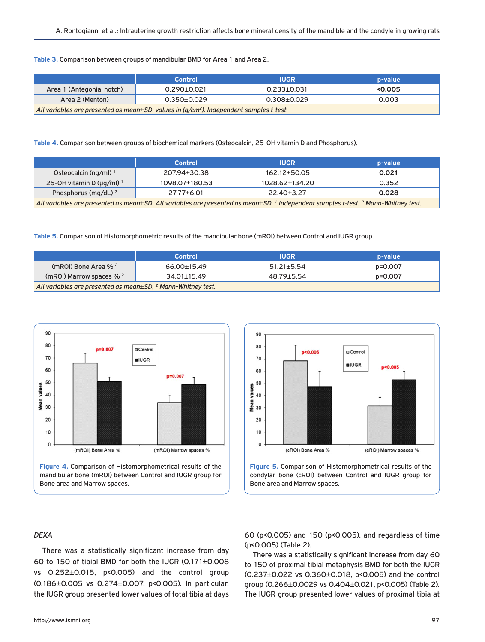#### **Table 3.** Comparison between groups of mandibular BMD for Area 1 and Area 2.

|                                                                                                   | <b>Control</b>    | <b>IUGR</b>     | p-value |
|---------------------------------------------------------------------------------------------------|-------------------|-----------------|---------|
| Area 1 (Antegonial notch)                                                                         | $0.290 \pm 0.021$ | 0.233+0.031     | <0.005  |
| Area 2 (Menton)                                                                                   | $0.350 + 0.029$   | $0.308 + 0.029$ | 0.003   |
| $\,$ All variables are presented as mean $\pm$ SD, values in (g/cm²). Independent samples t-test. |                   |                 |         |

#### **Table 4.** Comparison between groups of biochemical markers (Osteocalcin, 25-OH vitamin D and Phosphorus).

|                                                                                                                                                          | <b>Control</b>   | <b>IUGR</b>        | p-value |
|----------------------------------------------------------------------------------------------------------------------------------------------------------|------------------|--------------------|---------|
| Osteocalcin (ng/ml) <sup>1</sup>                                                                                                                         | 207.94±30.38     | $162.12 \pm 50.05$ | 0.021   |
| 25-OH vitamin D ( $\mu$ g/ml) <sup>1</sup>                                                                                                               | 1098.07±180.53   | 1028.62±134.20     | 0.352   |
| Phosphorus (mg/dL) $^2$                                                                                                                                  | $27.77 \pm 6.01$ | $22.40 \pm 3.27$   | 0.028   |
| All variables are presented as mean±SD. All variables are presented as mean±SD, <sup>1</sup> Independent samples t-test. <sup>2</sup> Mann-Whitney test. |                  |                    |         |

#### **Table 5.** Comparison of Histomorphometric results of the mandibular bone (mROI) between Control and IUGR group.

|                                                                       | Control           | <b>IUGR</b>      | p-value |
|-----------------------------------------------------------------------|-------------------|------------------|---------|
| (mROI) Bone Area % 2                                                  | $66.00 \pm 15.49$ | $51.21 \pm 5.54$ | p=0.007 |
| (mROI) Marrow spaces $% ^{2}$                                         | $34.01 \pm 15.49$ | $48.79 \pm 5.54$ | p=0.007 |
| All variables are presented as mean $\pm$ SD, $^2$ Mann-Whitney test. |                   |                  |         |



mandibular bone (mROI) between Control and IUGR group for Bone area and Marrow spaces.



**Figure 5.** Comparison of Histomorphometrical results of the condylar bone (cROI) between Control and IUGR group for Bone area and Marrow spaces.

# *DEXA*

There was a statistically significant increase from day 60 to 150 of tibial BMD for both the IUGR (0.171±0.008 vs 0.252±0.015, p<0.005) and the control group (0.186±0.005 vs 0.274±0.007, p<0.005). In particular, the IUGR group presented lower values of total tibia at days

60 (p<0.005) and 150 (p<0.005), and regardless of time (p<0.005) (Table 2).

There was a statistically significant increase from day 60 to 150 of proximal tibial metaphysis BMD for both the IUGR (0.237±0.022 vs 0.360±0.018, p<0.005) and the control group (0.266±0.0029 vs 0.404±0.021, p<0.005) (Table 2). The IUGR group presented lower values of proximal tibia at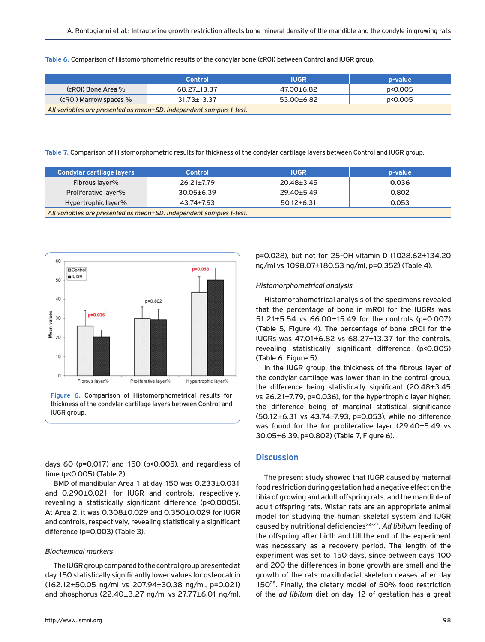**Table 6.** Comparison of Histomorphometric results of the condylar bone (cROI) between Control and IUGR group.

|                                                                           | <b>Control</b>    | <b>IUGR</b> | p-value |
|---------------------------------------------------------------------------|-------------------|-------------|---------|
| (cROI) Bone Area %                                                        | 68.27±13.37       | 47.00±6.82  | p<0.005 |
| (cROI) Marrow spaces %                                                    | $31.73 \pm 13.37$ | 53.00+6.82  | p<0.005 |
| All variables are presented as mean $\pm$ SD. Independent samples t-test. |                   |             |         |

**Table 7.** Comparison of Histomorphometric results for thickness of the condylar cartilage layers between Control and IUGR group.

| <b>Condylar cartilage layers</b>                                    | <b>Control</b>   | <b>IUGR</b>      | p-value |
|---------------------------------------------------------------------|------------------|------------------|---------|
| Fibrous laver%                                                      | $26.21 \pm 7.79$ | $20.48 \pm 3.45$ | 0.036   |
| Proliferative layer%                                                | $30.05 \pm 6.39$ | 29.40 + 5.49     | 0.802   |
| Hypertrophic layer%                                                 | 43.74±7.93       | $50.12 \pm 6.31$ | 0.053   |
| All variables are presented as mean±SD. Independent samples t-test. |                  |                  |         |



days 60 (p=0.017) and 150 (p<0.005), and regardless of time (p<0.005) (Table 2).

BMD of mandibular Area 1 at day 150 was 0.233±0.031 and 0.290±0.021 for IUGR and controls, respectively, revealing a statistically significant difference (p<0.0005). At Area 2, it was 0.308±0.029 and 0.350±0.029 for IUGR and controls, respectively, revealing statistically a significant difference (p=0.003) (Table 3).

#### *Biochemical markers*

The IUGR group compared to the control group presented at day 150 statistically significantly lower values for osteocalcin (162.12±50.05 ng/ml vs 207.94±30.38 ng/ml, p=0.021) and phosphorus (22.40 $\pm$ 3.27 ng/ml vs 27.77 $\pm$ 6.01 ng/ml, p=0.028), but not for 25-OH vitamin D (1028.62±134.20 ng/ml vs 1098.07±180.53 ng/ml, p=0.352) (Table 4).

#### *Histomorphometrical analysis*

Histomorphometrical analysis of the specimens revealed that the percentage of bone in mROI for the IUGRs was 51.21±5.54 vs 66.00±15.49 for the controls (p=0.007) (Table 5, Figure 4). The percentage of bone cROI for the IUGRs was 47.01±6.82 vs 68.27±13.37 for the controls, revealing statistically significant difference (p<0.005) (Table 6, Figure 5).

In the IUGR group, the thickness of the fibrous layer of the condylar cartilage was lower than in the control group, the difference being statistically significant (20.48±3.45 vs 26.21±7.79, p=0.036), for the hypertrophic layer higher, the difference being of marginal statistical significance (50.12±6.31 vs 43.74±7.93, p=0.053), while no difference was found for the for proliferative layer (29.40±5.49 vs 30.05±6.39, p=0.802) (Table 7, Figure 6).

## **Discussion**

The present study showed that IUGR caused by maternal food restriction during gestation had a negative effect on the tibia of growing and adult offspring rats, and the mandible of adult offspring rats. Wistar rats are an appropriate animal model for studying the human skeletal system and IUGR caused by nutritional deficiencies<sup>24-27</sup>. Ad libitum feeding of the offspring after birth and till the end of the experiment was necessary as a recovery period. The length of the experiment was set to 150 days, since between days 100 and 200 the differences in bone growth are small and the growth of the rats maxillofacial skeleton ceases after day 15028. Finally, the dietary model of 50% food restriction of the *ad libitum* diet on day 12 of gestation has a great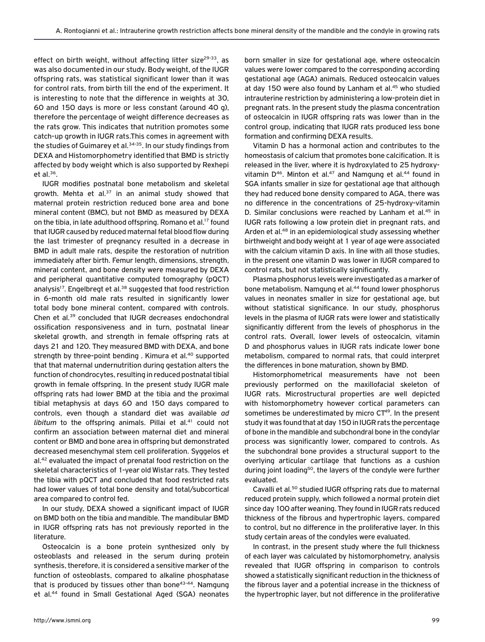effect on birth weight, without affecting litter size<sup>29-33</sup>, as was also documented in our study. Body weight, of the IUGR offspring rats, was statistical significant lower than it was for control rats, from birth till the end of the experiment. It is interesting to note that the difference in weights at 30, 60 and 150 days is more or less constant (around 40 g), therefore the percentage of weight difference decreases as the rats grow. This indicates that nutrition promotes some catch-up growth in IUGR rats.This comes in agreement with the studies of Guimarey et al.<sup>34-35</sup>. In our study findings from DEXA and Histomorphometry identified that BMD is strictly affected by body weight which is also supported by Rexhepi et al. $36$ .

IUGR modifies postnatal bone metabolism and skeletal growth. Mehta et al. $37$  in an animal study showed that maternal protein restriction reduced bone area and bone mineral content (BMC), but not BMD as measured by DEXA on the tibia, in late adulthood offspring. Romano et al.<sup>17</sup> found that IUGR caused by reduced maternal fetal blood flow during the last trimester of pregnancy resulted in a decrease in BMD in adult male rats, despite the restoration of nutrition immediately after birth. Femur length, dimensions, strength, mineral content, and bone density were measured by DEXA and peripheral quantitative computed tomography (pQCT) analysis<sup>17</sup>. Engelbregt et al.<sup>38</sup> suggested that food restriction in 6-month old male rats resulted in significantly lower total body bone mineral content, compared with controls. Chen et al.39 concluded that IUGR decreases endochondral ossification responsiveness and in turn, postnatal linear skeletal growth, and strength in female offspring rats at days 21 and 120. They measured BMD with DEXA, and bone strength by three-point bending. Kimura et al.<sup>40</sup> supported that that maternal undernutrition during gestation alters the function of chondrocytes, resulting in reduced postnatal tibial growth in female offspring. In the present study IUGR male offspring rats had lower BMD at the tibia and the proximal tibial metaphysis at days 60 and 150 days compared to controls, even though a standard diet was available *ad libitum* to the offspring animals. Pillai et al.<sup>41</sup> could not confirm an association between maternal diet and mineral content or BMD and bone area in offspring but demonstrated decreased mesenchymal stem cell proliferation. Syggelos et al.<sup>42</sup> evaluated the impact of prenatal food restriction on the skeletal characteristics of 1-year old Wistar rats. They tested the tibia with pQCT and concluded that food restricted rats had lower values of total bone density and total/subcortical area compared to control fed.

In our study, DEXA showed a significant impact of IUGR on BMD both on the tibia and mandible. The mandibular BMD in IUGR offspring rats has not previously reported in the literature.

Osteocalcin is a bone protein synthesized only by osteoblasts and released in the serum during protein synthesis, therefore, it is considered a sensitive marker of the function of osteoblasts, compared to alkaline phosphatase that is produced by tissues other than bone $43-44$ . Namgung et al.<sup>44</sup> found in Small Gestational Aged (SGA) neonates born smaller in size for gestational age, where osteocalcin values were lower compared to the corresponding according gestational age (AGA) animals. Reduced osteocalcin values at day 150 were also found by Lanham et al.<sup>45</sup> who studied intrauterine restriction by administering a low-protein diet in pregnant rats. In the present study the plasma concentration of osteocalcin in IUGR offspring rats was lower than in the control group, indicating that IUGR rats produced less bone formation and confirming DEXA results.

Vitamin D has a hormonal action and contributes to the homeostasis of calcium that promotes bone calcification. It is released in the liver, where it is hydroxylated to 25 hydroxyvitamin  $D^{46}$ . Minton et al.<sup>47</sup> and Namgung et al.<sup>44</sup> found in SGA infants smaller in size for gestational age that although they had reduced bone density compared to AGA, there was no difference in the concentrations of 25-hydroxy-vitamin D. Similar conclusions were reached by Lanham et al.<sup>45</sup> in IUGR rats following a low protein diet in pregnant rats, and Arden et al.48 in an epidemiological study assessing whether birthweight and body weight at 1 year of age were associated with the calcium vitamin D axis. In line with all those studies, in the present one vitamin D was lower in IUGR compared to control rats, but not statistically significantly.

Plasma phosphorus levels were investigated as a marker of bone metabolism. Namgung et al.<sup>44</sup> found lower phosphorus values in neonates smaller in size for gestational age, but without statistical significance. In our study, phosphorus levels in the plasma of IUGR rats were lower and statistically significantly different from the levels of phosphorus in the control rats. Overall, lower levels of osteocalcin, vitamin D and phosphorus values in IUGR rats indicate lower bone metabolism, compared to normal rats, that could interpret the differences in bone maturation, shown by BMD.

Histomorphometrical measurements have not been previously performed on the maxillofacial skeleton of IUGR rats. Microstructural properties are well depicted with histomorphometry however cortical parameters can sometimes be underestimated by micro CT<sup>49</sup>. In the present study it was found that at day 150 in IUGR rats the percentage of bone in the mandible and subchondral bone in the condylar process was significantly lower, compared to controls. As the subchondral bone provides a structural support to the overlying articular cartilage that functions as a cushion during joint loading<sup>50</sup>, the layers of the condyle were further evaluated.

Cavalli et al.50 studied IUGR offspring rats due to maternal reduced protein supply, which followed a normal protein diet since day 100 after weaning. They found in IUGR rats reduced thickness of the fibrous and hypertrophic layers, compared to control, but no difference in the proliferative layer. In this study certain areas of the condyles were evaluated.

In contrast, in the present study where the full thickness of each layer was calculated by histomorphometry, analysis revealed that IUGR offspring in comparison to controls showed a statistically significant reduction in the thickness of the fibrous layer and a potential increase in the thickness of the hypertrophic layer, but not difference in the proliferative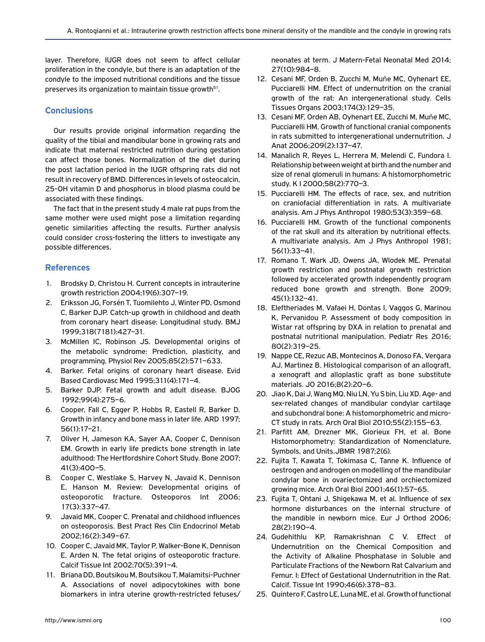layer. Therefore, IUGR does not seem to affect cellular proliferation in the condyle, but there is an adaptation of the condyle to the imposed nutritional conditions and the tissue preserves its organization to maintain tissue growth<sup>51</sup>.

# **Conclusions**

Our results provide original information regarding the quality of the tibial and mandibular bone in growing rats and indicate that maternal restricted nutrition during gestation can affect those bones. Normalization of the diet during the post lactation period in the IUGR offspring rats did not result in recovery of BMD. Differences in levels of osteocalcin, 25-OH vitamin D and phosphorus in blood plasma could be associated with these findings.

The fact that in the present study 4 male rat pups from the same mother were used might pose a limitation regarding genetic similarities affecting the results. Further analysis could consider cross-fostering the litters to investigate any possible differences.

# **References**

- 1. Brodsky D, Christou H. Current concepts in intrauterine growth restriction 2004;19(6):307–19.
- 2. Eriksson JG, Forsén T, Tuomilehto J, Winter PD, Osmond C, Barker DJP. Catch-up growth in childhood and death from coronary heart disease: Longitudinal study. BMJ 1999;318(7181):427–31.
- 3. McMillen IC, Robinson JS. Developmental origins of the metabolic syndrome: Prediction, plasticity, and programming. Physiol Rev 2005;85(2):571–633.
- 4. Barker. Fetal origins of coronary heart disease. Evid Based Cardiovasc Med 1995;311(4):171–4.
- 5. Barker DJP. Fetal growth and adult disease. BJOG 1992;99(4):275–6.
- 6. Cooper, Fall C, Egger P, Hobbs R, Eastell R, Barker D. Growth in infancy and bone mass in later life. ARD 1997; 56(1):17–21.
- 7. Oliver H, Jameson KA, Sayer AA, Cooper C, Dennison EM. Growth in early life predicts bone strength in late adulthood: The Hertfordshire Cohort Study. Bone 2007; 41(3):400–5.
- 8. Cooper C, Westlake S, Harvey N, Javaid K, Dennison E, Hanson M. Review: Developmental origins of osteoporotic fracture. Osteoporos Int 2006; 17(3):337–47.
- 9. Javaid MK, Cooper C. Prenatal and childhood influences on osteoporosis. Best Pract Res Clin Endocrinol Metab 2002;16(2):349–67.
- 10. Cooper C, Javaid MK, Taylor P, Walker-Bone K, Dennison E, Arden N. The fetal origins of osteoporotic fracture. Calcif Tissue Int 2002;70(5):391–4.
- 11. Briana DD, Boutsikou M, Boutsikou T, Malamitsi-Puchner A. Associations of novel adipocytokines with bone biomarkers in intra uterine growth-restricted fetuses/

neonates at term. J Matern-Fetal Neonatal Med 2014; 27(10):984–8.

- 12. Cesani MF, Orden B, Zucchi M, Muñe MC, Oyhenart EE, Pucciarelli HM. Effect of undernutrition on the cranial growth of the rat: An intergenerational study. Cells Tissues Organs 2003;174(3):129–35.
- 13. Cesani MF, Orden AB, Oyhenart EE, Zucchi M, Muñe MC, Pucciarelli HM. Growth of functional cranial components in rats submitted to intergenerational undernutrition. J Anat 2006;209(2):137–47.
- 14. Manalich R, Reyes L, Herrera M, Melendi C, Fundora I. Relationship between weight at birth and the number and size of renal glomeruli in humans: A histomorphometric study. K I 2000;58(2):770–3.
- 15. Pucciarelli HM. The effects of race, sex, and nutrition on craniofacial differentiation in rats. A multivariate analysis. Am J Phys Anthropol 1980;53(3):359–68.
- 16. Pucciarelli HM. Growth of the functional components of the rat skull and its alteration by nutritional effects. A multivariate analysis. Am J Phys Anthropol 1981; 56(1):33–41.
- 17. Romano T, Wark JD, Owens JA, Wlodek ME. Prenatal growth restriction and postnatal growth restriction followed by accelerated growth independently program reduced bone growth and strength. Bone 2009; 45(1):132–41.
- 18. Eleftheriades M, Vafaei H, Dontas I, Vaggos G, Marinou K, Pervanidou P. Assessment of body composition in Wistar rat offspring by DXA in relation to prenatal and postnatal nutritional manipulation. Pediatr Res 2016; 80(2):319–25.
- 19. Nappe CE, Rezuc AB, Montecinos A, Donoso FA, Vergara AJ, Martinez B. Histological comparison of an allograft, a xenograft and alloplastic graft as bone substitute materials. JO 2016;8(2):20–6.
- 20. Jiao K, Dai J, Wang MQ, Niu LN, Yu S bin, Liu XD. Age- and sex-related changes of mandibular condylar cartilage and subchondral bone: A histomorphometric and micro-CT study in rats. Arch Oral Biol 2010;55(2):155–63.
- 21. Parfitt AM, Drezner MK, Glorieux FH, et al. Bone Histomorphometry: Standardization of Nomenclature, Symbols, and Units.JBMR 1987;2(6).
- 22. Fujita T, Kawata T, Tokimasa C, Tanne K. Influence of oestrogen and androgen on modelling of the mandibular condylar bone in ovariectomized and orchiectomized growing mice. Arch Oral Biol 2001;46(1):57–65.
- 23. Fujita T, Ohtani J, Shigekawa M, et al. Influence of sex hormone disturbances on the internal structure of the mandible in newborn mice. Eur J Orthod 2006; 28(2):190–4.
- 24. Gudehithlu KP, Ramakrishnan C V. Effect of Undernutrition on the Chemical Composition and the Activity of Alkaline Phosphatase in Soluble and Particulate Fractions of the Newborn Rat Calvarium and Femur. I: Effect of Gestational Undernutrition in the Rat. Calcif. Tissue Int 1990;46(6):378–83.
- 25. Quintero F, Castro LE, Luna ME, et al. Growth of functional